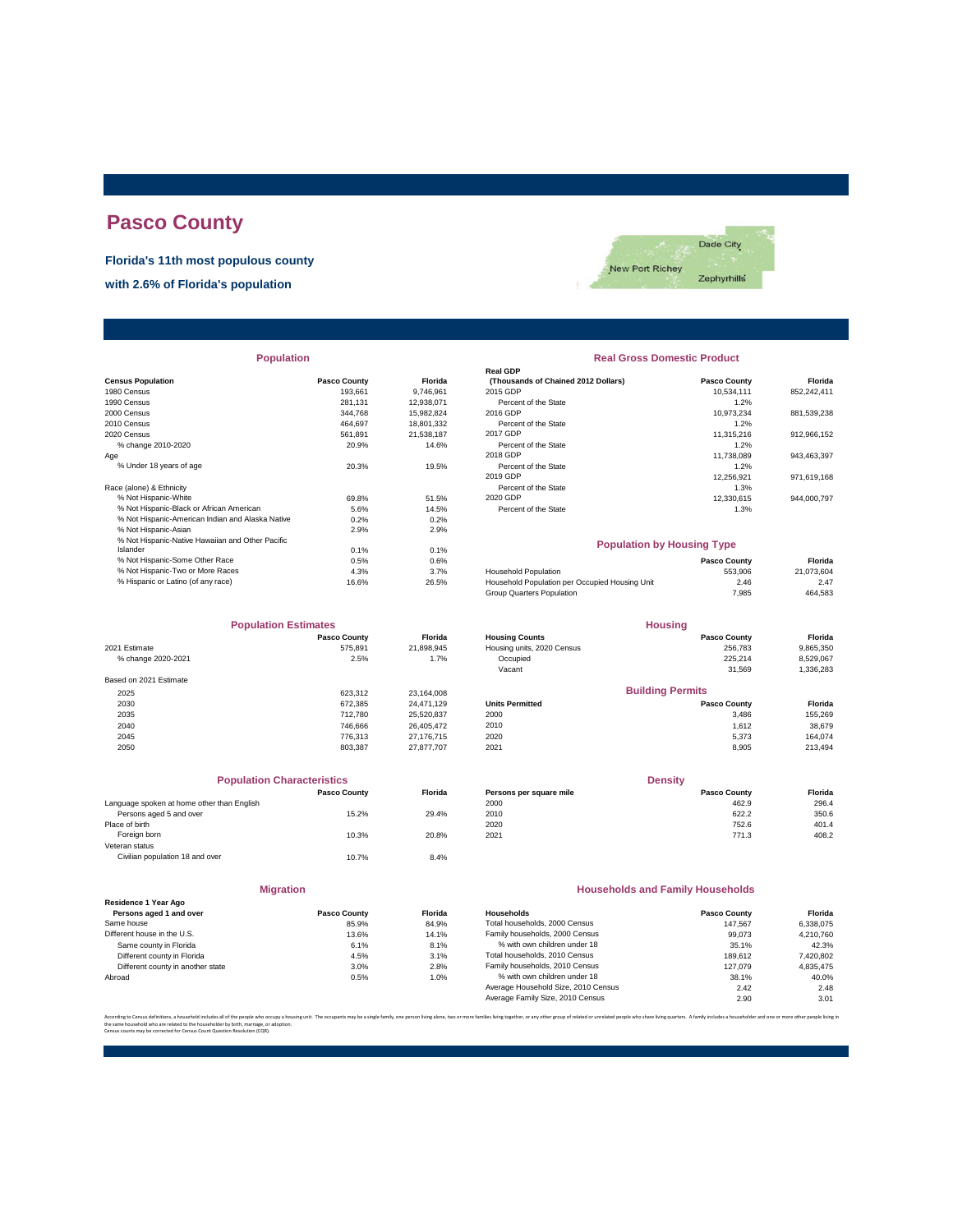# **Pasco County**

**Florida's 11th most populous county**

**with 2.6% of Florida's population**



| <b>Population</b>                                |                     |                | <b>Real Gross Domestic Product</b>             |                     |             |  |
|--------------------------------------------------|---------------------|----------------|------------------------------------------------|---------------------|-------------|--|
|                                                  |                     |                | <b>Real GDP</b>                                |                     |             |  |
| <b>Census Population</b>                         | <b>Pasco County</b> | <b>Florida</b> | (Thousands of Chained 2012 Dollars)            | <b>Pasco County</b> | Florida     |  |
| 1980 Census                                      | 193,661             | 9,746,961      | 2015 GDP                                       | 10,534,111          | 852,242,411 |  |
| 1990 Census                                      | 281,131             | 12,938,071     | Percent of the State                           | 1.2%                |             |  |
| 2000 Census                                      | 344.768             | 15.982.824     | 2016 GDP                                       | 10.973.234          | 881,539,238 |  |
| 2010 Census                                      | 464,697             | 18,801,332     | Percent of the State                           | 1.2%                |             |  |
| 2020 Census                                      | 561,891             | 21,538,187     | 2017 GDP                                       | 11.315.216          | 912,966,152 |  |
| % change 2010-2020                               | 20.9%               | 14.6%          | Percent of the State                           | 1.2%                |             |  |
| Age                                              |                     |                | 2018 GDP                                       | 11,738,089          | 943,463,397 |  |
| % Under 18 years of age                          | 20.3%               | 19.5%          | Percent of the State                           | 1.2%                |             |  |
|                                                  |                     |                | 2019 GDP                                       | 12,256,921          | 971,619,168 |  |
| Race (alone) & Ethnicity                         |                     |                | Percent of the State                           | 1.3%                |             |  |
| % Not Hispanic-White                             | 69.8%               | 51.5%          | 2020 GDP                                       | 12.330.615          | 944,000,797 |  |
| % Not Hispanic-Black or African American         | 5.6%                | 14.5%          | Percent of the State                           | 1.3%                |             |  |
| % Not Hispanic-American Indian and Alaska Native | 0.2%                | 0.2%           |                                                |                     |             |  |
| % Not Hispanic-Asian                             | 2.9%                | 2.9%           |                                                |                     |             |  |
| % Not Hispanic-Native Hawaiian and Other Pacific |                     |                | <b>Population by Housing Type</b>              |                     |             |  |
| Islander                                         | 0.1%                | 0.1%           |                                                |                     |             |  |
| % Not Hispanic-Some Other Race                   | 0.5%                | 0.6%           |                                                | <b>Pasco County</b> | Florida     |  |
| % Not Hispanic-Two or More Races                 | 4.3%                | 3.7%           | <b>Household Population</b>                    | 553,906             | 21,073,604  |  |
| % Hispanic or Latino (of any race)               | 16.6%               | 26.5%          | Household Population per Occupied Housing Unit | 2.46                | 2.47        |  |

| <b>Population Estimates</b> |                     |                | <b>Housing</b>             |                         |           |
|-----------------------------|---------------------|----------------|----------------------------|-------------------------|-----------|
|                             | <b>Pasco County</b> | <b>Florida</b> | <b>Housing Counts</b>      | <b>Pasco County</b>     | Florida   |
| 2021 Estimate               | 575.891             | 21,898,945     | Housing units, 2020 Census | 256,783                 | 9,865,350 |
| % change 2020-2021          | 2.5%                | 1.7%           | Occupied                   | 225.214                 | 8,529,067 |
|                             |                     |                | Vacant                     | 31.569                  | 1,336,283 |
| Based on 2021 Estimate      |                     |                |                            |                         |           |
| 2025                        | 623.312             | 23.164.008     |                            | <b>Building Permits</b> |           |
| 2030                        | 672.385             | 24.471.129     | <b>Units Permitted</b>     | <b>Pasco County</b>     | Florida   |
| 2035                        | 712.780             | 25.520.837     | 2000                       | 3.486                   | 155,269   |
| 2040                        | 746.666             | 26.405.472     | 2010                       | 1.612                   | 38,679    |
| 2045                        | 776,313             | 27.176.715     | 2020                       | 5,373                   | 164.074   |
| 2050                        | 803.387             | 27.877.707     | 2021                       | 8,905                   | 213,494   |

| <b>Population Characteristics</b>          |                     |                |
|--------------------------------------------|---------------------|----------------|
|                                            | <b>Pasco County</b> | <b>Florida</b> |
| Language spoken at home other than English |                     |                |
| Persons aged 5 and over                    | 15.2%               | 29.4%          |
| Place of birth                             |                     |                |
| Foreign born                               | 10.3%               | 20.8%          |
| Veteran status                             |                     |                |
| Civilian population 18 and over            | 10.7%               | 8.4%           |
|                                            |                     |                |
|                                            |                     |                |

|                                                 | <b>Migration</b>    |                |
|-------------------------------------------------|---------------------|----------------|
| Residence 1 Year Ago<br>Persons aged 1 and over | <b>Pasco County</b> | <b>Florida</b> |
| Same house                                      | 85.9%               | 84.9%          |
| Different house in the U.S.                     | 13.6%               | 14.1%          |
| Same county in Florida                          | 6.1%                | 8.1%           |
| Different county in Florida                     | 4.5%                | 3.1%           |
| Different county in another state               | 3.0%                | 2.8%           |
| Abroad                                          | 0.5%                | 1.0%           |

| <b>Population</b> |                     |                | <b>Real Gross Domestic Product</b>  |                     |             |  |  |
|-------------------|---------------------|----------------|-------------------------------------|---------------------|-------------|--|--|
|                   |                     |                | <b>Real GDP</b>                     |                     |             |  |  |
|                   | <b>Pasco County</b> | <b>Florida</b> | (Thousands of Chained 2012 Dollars) | <b>Pasco County</b> | Florida     |  |  |
|                   | 193.661             | 9.746.961      | 2015 GDP                            | 10.534.111          | 852.242.411 |  |  |
|                   | 281,131             | 12,938,071     | Percent of the State                | 1.2%                |             |  |  |
|                   | 344.768             | 15,982,824     | 2016 GDP                            | 10,973,234          | 881,539,238 |  |  |
|                   | 464.697             | 18,801,332     | Percent of the State                | 1.2%                |             |  |  |
|                   | 561.891             | 21.538.187     | 2017 GDP                            | 11.315.216          | 912,966,152 |  |  |
|                   | 20.9%               | 14.6%          | Percent of the State                | 1.2%                |             |  |  |
|                   |                     |                | 2018 GDP                            | 11.738.089          | 943,463,397 |  |  |
|                   | 20.3%               | 19.5%          | Percent of the State                | 1.2%                |             |  |  |
|                   |                     |                | 2019 GDP                            | 12,256,921          | 971,619,168 |  |  |
|                   |                     |                | Percent of the State                | 1.3%                |             |  |  |
|                   | 69.8%               | 51.5%          | 2020 GDP                            | 12,330,615          | 944,000,797 |  |  |
| n                 | 5.6%                | 14.5%          | Percent of the State                | 1.3%                |             |  |  |
| ska Native        | 0.2%                | 0.2%           |                                     |                     |             |  |  |

| <b>Population by Housing Type</b> |  |
|-----------------------------------|--|
| <b>Pasco County</b>               |  |

| % Not Hispanic-Two or More Races   | 4.3%  | 3.7%  | <b>Household Population</b>                    | 553.906 | 21.073.604 |
|------------------------------------|-------|-------|------------------------------------------------|---------|------------|
| % Hispanic or Latino (of any race) | 16.6% | 26.5% | Household Population per Occupied Housing Unit | 2.46    | 2.47       |
|                                    |       |       | Group Quarters Population                      | 7.985   | 464.583    |
|                                    |       |       |                                                |         |            |

| <b>Population Estimates</b> |                     |                | <b>Housing</b>             |                         |           |
|-----------------------------|---------------------|----------------|----------------------------|-------------------------|-----------|
|                             | <b>Pasco County</b> | <b>Florida</b> | <b>Housing Counts</b>      | <b>Pasco County</b>     | Florida   |
| 2021 Estimate               | 575.891             | 21.898.945     | Housing units, 2020 Census | 256,783                 | 9,865,350 |
| % change 2020-2021          | 2.5%                | 1.7%           | Occupied                   | 225.214                 | 8,529,067 |
|                             |                     |                | Vacant                     | 31.569                  | 1,336,283 |
| Based on 2021 Estimate      |                     |                |                            |                         |           |
| 2025                        | 623.312             | 23.164.008     |                            | <b>Building Permits</b> |           |
| 2030                        | 672.385             | 24.471.129     | <b>Units Permitted</b>     | <b>Pasco County</b>     | Florida   |
| 2035                        | 712.780             | 25,520,837     | 2000                       | 3.486                   | 155,269   |
| 2040                        | 746.666             | 26.405.472     | 2010                       | 1.612                   | 38,679    |
| 0015                        | 770.040             | 27.7227        | nono.                      | F 270                   | 404074    |

| <b>Population Characteristics</b>          |                     |         | <b>Density</b>          |                     |                |  |
|--------------------------------------------|---------------------|---------|-------------------------|---------------------|----------------|--|
|                                            | <b>Pasco County</b> | Florida | Persons per square mile | <b>Pasco County</b> | <b>Florida</b> |  |
| Language spoken at home other than English |                     |         | 2000                    | 462.9               | 296.4          |  |
| Persons aged 5 and over                    | 15.2%               | 29.4%   | 2010                    | 622.2               | 350.6          |  |
| Place of birth                             |                     |         | 2020                    | 752.6               | 401.4          |  |
| Foreign born                               | 10.3%               | 20.8%   | 2021                    | 771.3               | 408.2          |  |
|                                            |                     |         |                         |                     |                |  |

### **Households and Family Households**

| Residence 1 Year Ago              |                     |                |                                     |                     |           |
|-----------------------------------|---------------------|----------------|-------------------------------------|---------------------|-----------|
| Persons aged 1 and over           | <b>Pasco County</b> | <b>Florida</b> | Households                          | <b>Pasco County</b> | Florida   |
| Same house                        | 85.9%               | 84.9%          | Total households, 2000 Census       | 147.567             | 6.338.075 |
| Different house in the U.S.       | 13.6%               | 14.1%          | Family households, 2000 Census      | 99.073              | 4.210.760 |
| Same county in Florida            | 6.1%                | 8.1%           | % with own children under 18        | 35.1%               | 42.3%     |
| Different county in Florida       | 4.5%                | 3.1%           | Total households, 2010 Census       | 189.612             | 7,420,802 |
| Different county in another state | 3.0%                | 2.8%           | Family households, 2010 Census      | 127.079             | 4.835.475 |
| Abroad                            | 0.5%                | 1.0%           | % with own children under 18        | 38.1%               | 40.0%     |
|                                   |                     |                | Average Household Size, 2010 Census | 2.42                | 2.48      |
|                                   |                     |                | Average Family Size, 2010 Census    | 2.90                | 3.01      |
|                                   |                     |                |                                     |                     |           |

According to Census definitions, a household includes all of the people who occupy a housing unit. The occupants may be a single family, one person living back, two or more families living together, or any other group of r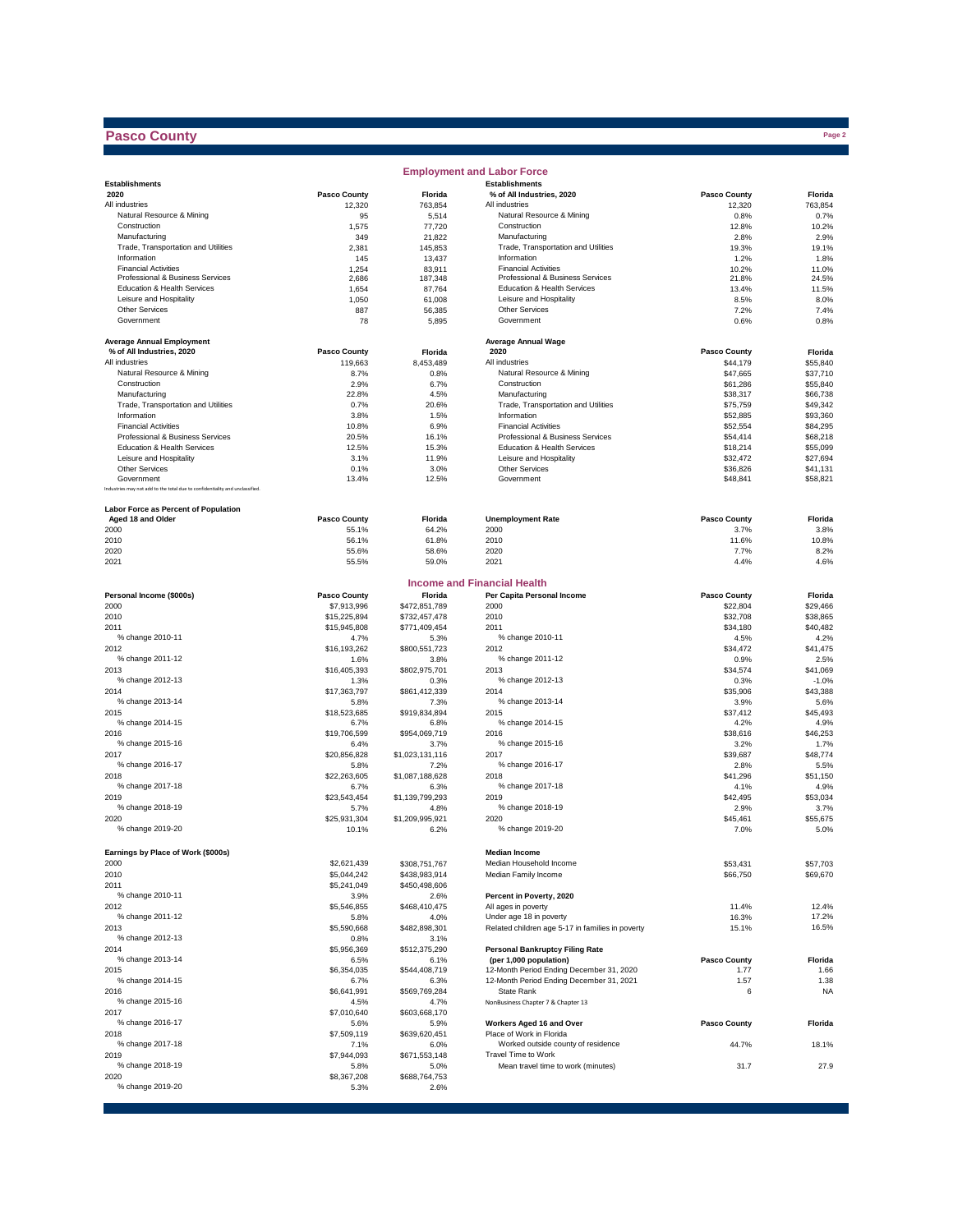## **Pasco County**

|                                                                              |                       |                         | <b>Employment and Labor Force</b>                         |                      |                      |
|------------------------------------------------------------------------------|-----------------------|-------------------------|-----------------------------------------------------------|----------------------|----------------------|
| <b>Establishments</b>                                                        |                       |                         | <b>Establishments</b>                                     |                      |                      |
| 2020                                                                         | <b>Pasco County</b>   | Florida                 | % of All Industries, 2020                                 | <b>Pasco County</b>  | Florida              |
| All industries<br>Natural Resource & Mining                                  | 12,320                | 763,854                 | All industries<br>Natural Resource & Mining               | 12,320               | 763,854              |
| Construction                                                                 | 95<br>1,575           | 5,514<br>77,720         | Construction                                              | 0.8%<br>12.8%        | 0.7%<br>10.2%        |
| Manufacturing                                                                | 349                   | 21,822                  | Manufacturing                                             | 2.8%                 | 2.9%                 |
| Trade, Transportation and Utilities                                          | 2,381                 | 145,853                 | Trade, Transportation and Utilities                       | 19.3%                | 19.1%                |
| Information                                                                  | 145                   | 13,437                  | Information                                               | 1.2%                 | 1.8%                 |
| <b>Financial Activities</b>                                                  | 1,254                 | 83,911                  | <b>Financial Activities</b>                               | 10.2%                | 11.0%                |
| Professional & Business Services                                             | 2,686                 | 187,348                 | Professional & Business Services                          | 21.8%                | 24.5%                |
| Education & Health Services<br>Leisure and Hospitality                       | 1,654                 | 87,764                  | Education & Health Services<br>Leisure and Hospitality    | 13.4%                | 11.5%                |
| <b>Other Services</b>                                                        | 1,050<br>887          | 61,008<br>56,385        | <b>Other Services</b>                                     | 8.5%<br>7.2%         | 8.0%<br>7.4%         |
| Government                                                                   | 78                    | 5,895                   | Government                                                | 0.6%                 | 0.8%                 |
|                                                                              |                       |                         |                                                           |                      |                      |
| <b>Average Annual Employment</b>                                             |                       |                         | <b>Average Annual Wage</b>                                |                      |                      |
| % of All Industries, 2020                                                    | <b>Pasco County</b>   | Florida                 | 2020                                                      | <b>Pasco County</b>  | Florida              |
| All industries                                                               | 119,663               | 8,453,489               | All industries                                            | \$44,179             | \$55,840             |
| Natural Resource & Mining                                                    | 8.7%                  | 0.8%                    | Natural Resource & Mining                                 | \$47,665             | \$37,710             |
| Construction                                                                 | 2.9%                  | 6.7%                    | Construction                                              | \$61,286             | \$55,840             |
| Manufacturing<br>Trade, Transportation and Utilities                         | 22.8%                 | 4.5%                    | Manufacturing<br>Trade, Transportation and Utilities      | \$38,317             | \$66,738             |
| Information                                                                  | 0.7%<br>3.8%          | 20.6%<br>1.5%           | Information                                               | \$75,759<br>\$52,885 | \$49,342<br>\$93,360 |
| <b>Financial Activities</b>                                                  | 10.8%                 | 6.9%                    | <b>Financial Activities</b>                               | \$52,554             | \$84,295             |
| Professional & Business Services                                             | 20.5%                 | 16.1%                   | Professional & Business Services                          | \$54,414             | \$68,218             |
| Education & Health Services                                                  | 12.5%                 | 15.3%                   | Education & Health Services                               | \$18,214             | \$55,099             |
| Leisure and Hospitality                                                      | 3.1%                  | 11.9%                   | Leisure and Hospitality                                   | \$32,472             | \$27,694             |
| <b>Other Services</b>                                                        | 0.1%                  | 3.0%                    | Other Services                                            | \$36,826             | \$41,131             |
| Government                                                                   | 13.4%                 | 12.5%                   | Government                                                | \$48,841             | \$58,821             |
| Industries may not add to the total due to confidentiality and unclassified. |                       |                         |                                                           |                      |                      |
| Labor Force as Percent of Population                                         |                       |                         |                                                           |                      |                      |
| Aged 18 and Older                                                            | <b>Pasco County</b>   | Florida                 | <b>Unemployment Rate</b>                                  | <b>Pasco County</b>  | Florida              |
| 2000                                                                         | 55.1%                 | 64.2%                   | 2000                                                      | 3.7%                 | 3.8%                 |
| 2010                                                                         | 56.1%                 | 61.8%                   | 2010                                                      | 11.6%                | 10.8%                |
| 2020                                                                         | 55.6%                 | 58.6%                   | 2020                                                      | 7.7%                 | 8.2%                 |
| 2021                                                                         | 55.5%                 | 59.0%                   | 2021                                                      | 4.4%                 | 4.6%                 |
|                                                                              |                       |                         | Income and Financial Health                               |                      |                      |
| Personal Income (\$000s)                                                     | <b>Pasco County</b>   | Florida                 | Per Capita Personal Income                                | <b>Pasco County</b>  | Florida              |
| 2000                                                                         | \$7,913,996           | \$472,851,789           | 2000                                                      | \$22,804             | \$29,466             |
| 2010                                                                         | \$15,225,894          | \$732,457,478           | 2010                                                      | \$32,708             | \$38,865             |
| 2011                                                                         | \$15,945,808          | \$771,409,454           | 2011                                                      | \$34,180             | \$40,482             |
| % change 2010-11                                                             | 4.7%                  | 5.3%                    | % change 2010-11                                          | 4.5%                 | 4.2%                 |
| 2012                                                                         | \$16,193,262          | \$800,551,723           | 2012                                                      | \$34,472             | \$41,475             |
| % change 2011-12                                                             | 1.6%                  | 3.8%                    | % change 2011-12                                          | 0.9%                 | 2.5%<br>\$41,069     |
| 2013<br>% change 2012-13                                                     | \$16,405,393<br>1.3%  | \$802,975,701<br>0.3%   | 2013<br>% change 2012-13                                  | \$34,574<br>0.3%     | $-1.0%$              |
| 2014                                                                         | \$17,363,797          | \$861,412,339           | 2014                                                      | \$35,906             | \$43,388             |
| % change 2013-14                                                             | 5.8%                  | 7.3%                    | % change 2013-14                                          | 3.9%                 | 5.6%                 |
| 2015                                                                         | \$18,523,685          | \$919,834,894           | 2015                                                      | \$37,412             | \$45,493             |
| % change 2014-15                                                             | 6.7%                  | 6.8%                    | % change 2014-15                                          | 4.2%                 | 4.9%                 |
| 2016                                                                         | \$19,706,599          | \$954,069,719           | 2016                                                      | \$38,616             | \$46,253             |
| % change 2015-16                                                             | 6.4%                  | 3.7%                    | % change 2015-16                                          | 3.2%                 | 1.7%                 |
| 2017                                                                         | \$20,856,828          | \$1,023,131,116         | 2017                                                      | \$39,687             | \$48,774             |
| % change 2016-17                                                             | 5.8%                  | 7.2%                    | % change 2016-17                                          | 2.8%                 | 5.5%                 |
| 2018                                                                         | \$22,263,605          | \$1,087,188,628         | 2018                                                      | \$41,296             | \$51,150             |
| % change 2017-18                                                             | 6.7%                  | 6.3%                    | % change 2017-18                                          | 4.1%                 | 4.9%                 |
| 2019                                                                         | \$23,543,454          | \$1,139,799,293         | 2019                                                      | \$42,495             | \$53,034             |
| % change 2018-19                                                             | 5.7%                  | 4.8%                    | % change 2018-19                                          | 2.9%                 | 3.7%                 |
| 2020<br>% change 2019-20                                                     | \$25,931,304<br>10.1% | \$1,209,995,921<br>6.2% | 2020<br>% change 2019-20                                  | \$45,461<br>7.0%     | \$55,675<br>5.0%     |
|                                                                              |                       |                         |                                                           |                      |                      |
| Earnings by Place of Work (\$000s)                                           |                       |                         | <b>Median Income</b>                                      |                      |                      |
| 2000                                                                         | \$2,621,439           | \$308,751,767           | Median Household Income                                   | \$53,431             | \$57,703             |
| 2010                                                                         | \$5,044,242           | \$438,983,914           | Median Family Income                                      | \$66,750             | \$69,670             |
| 2011                                                                         | \$5,241,049           | \$450,498,606           |                                                           |                      |                      |
| % change 2010-11                                                             | 3.9%                  | 2.6%                    | Percent in Poverty, 2020                                  |                      |                      |
| 2012<br>% change 2011-12                                                     | \$5,546,855           | \$468,410,475           | All ages in poverty<br>Under age 18 in poverty            | 11.4%                | 12.4%<br>17.2%       |
| 2013                                                                         | 5.8%<br>\$5,590,668   | 4.0%<br>\$482,898,301   | Related children age 5-17 in families in poverty          | 16.3%<br>15.1%       | 16.5%                |
| % change 2012-13                                                             | 0.8%                  | 3.1%                    |                                                           |                      |                      |
| 2014                                                                         | \$5,956,369           | \$512,375,290           | <b>Personal Bankruptcy Filing Rate</b>                    |                      |                      |
| % change 2013-14                                                             | 6.5%                  | 6.1%                    | (per 1,000 population)                                    | <b>Pasco County</b>  | Florida              |
| 2015                                                                         | \$6,354,035           | \$544,408,719           | 12-Month Period Ending December 31, 2020                  | 1.77                 | 1.66                 |
| % change 2014-15                                                             | 6.7%                  | 6.3%                    | 12-Month Period Ending December 31, 2021                  | 1.57                 | 1.38                 |
| 2016                                                                         | \$6,641,991           | \$569,769,284           | State Rank                                                | 6                    | <b>NA</b>            |
| % change 2015-16                                                             | 4.5%                  | 4.7%                    | NonBusiness Chapter 7 & Chapter 13                        |                      |                      |
| 2017                                                                         | \$7,010,640           | \$603,668,170           |                                                           |                      |                      |
| % change 2016-17                                                             | 5.6%                  | 5.9%                    | Workers Aged 16 and Over                                  | <b>Pasco County</b>  | Florida              |
| 2018                                                                         | \$7,509,119           | \$639,620,451           | Place of Work in Florida                                  |                      |                      |
| % change 2017-18                                                             | 7.1%                  | 6.0%                    | Worked outside county of residence<br>Travel Time to Work | 44.7%                | 18.1%                |
| 2019<br>% change 2018-19                                                     | \$7,944,093           | \$671,553,148           | Mean travel time to work (minutes)                        | 31.7                 | 27.9                 |
| 2020                                                                         | 5.8%<br>\$8,367,208   | 5.0%<br>\$688,764,753   |                                                           |                      |                      |
| % change 2019-20                                                             | 5.3%                  | 2.6%                    |                                                           |                      |                      |
|                                                                              |                       |                         |                                                           |                      |                      |